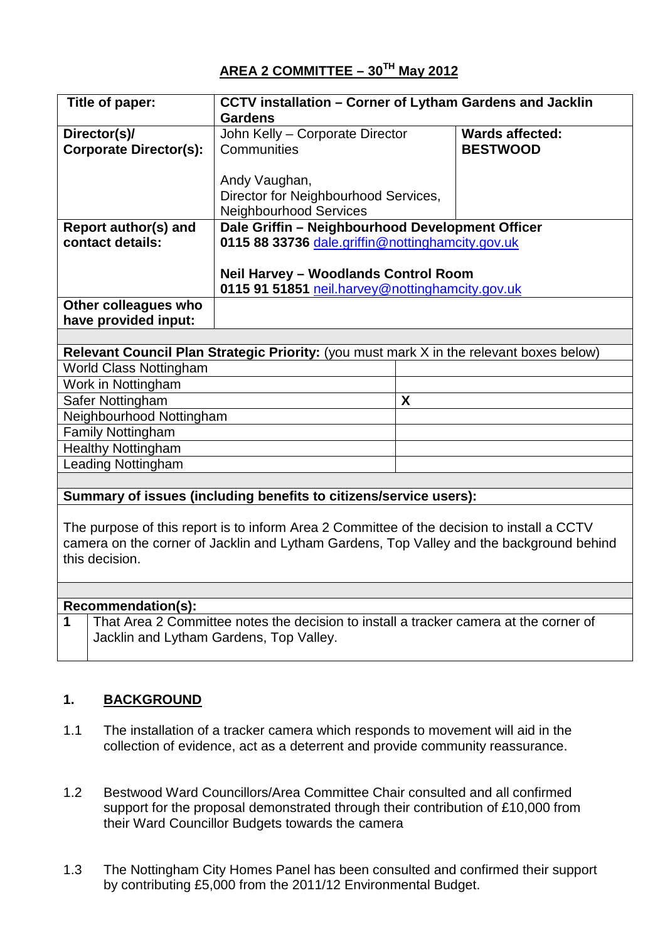| Title of paper:               | CCTV installation - Corner of Lytham Gardens and Jacklin |                        |
|-------------------------------|----------------------------------------------------------|------------------------|
|                               | <b>Gardens</b>                                           |                        |
| Director(s)/                  | John Kelly - Corporate Director                          | <b>Wards affected:</b> |
|                               |                                                          |                        |
| <b>Corporate Director(s):</b> | Communities                                              | <b>BESTWOOD</b>        |
|                               |                                                          |                        |
|                               | Andy Vaughan,                                            |                        |
|                               | Director for Neighbourhood Services,                     |                        |
|                               | <b>Neighbourhood Services</b>                            |                        |
| Report author(s) and          | Dale Griffin - Neighbourhood Development Officer         |                        |
| contact details:              | 0115 88 33736 dale.griffin@nottinghamcity.gov.uk         |                        |
|                               |                                                          |                        |
|                               | <b>Neil Harvey - Woodlands Control Room</b>              |                        |
|                               | 0115 91 51851 neil.harvey@nottinghamcity.gov.uk          |                        |
| Other colleagues who          |                                                          |                        |
| have provided input:          |                                                          |                        |

| Relevant Council Plan Strategic Priority: (you must mark X in the relevant boxes below) |   |  |
|-----------------------------------------------------------------------------------------|---|--|
| <b>World Class Nottingham</b>                                                           |   |  |
| Work in Nottingham                                                                      |   |  |
| Safer Nottingham                                                                        | Χ |  |
| Neighbourhood Nottingham                                                                |   |  |
| <b>Family Nottingham</b>                                                                |   |  |
| <b>Healthy Nottingham</b>                                                               |   |  |
| <b>Leading Nottingham</b>                                                               |   |  |

## **Summary of issues (including benefits to citizens/service users):**

The purpose of this report is to inform Area 2 Committee of the decision to install a CCTV camera on the corner of Jacklin and Lytham Gardens, Top Valley and the background behind this decision.

## **Recommendation(s):**

**1** That Area 2 Committee notes the decision to install a tracker camera at the corner of Jacklin and Lytham Gardens, Top Valley.

# **1. BACKGROUND**

- 1.1 The installation of a tracker camera which responds to movement will aid in the collection of evidence, act as a deterrent and provide community reassurance.
- 1.2 Bestwood Ward Councillors/Area Committee Chair consulted and all confirmed support for the proposal demonstrated through their contribution of £10,000 from their Ward Councillor Budgets towards the camera
- 1.3 The Nottingham City Homes Panel has been consulted and confirmed their support by contributing £5,000 from the 2011/12 Environmental Budget.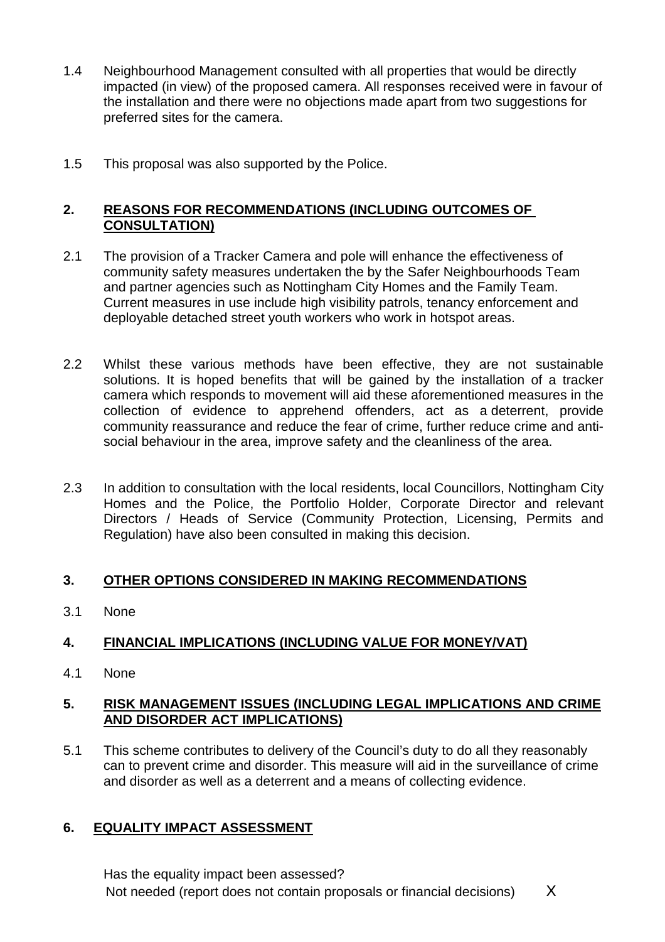- 1.4 Neighbourhood Management consulted with all properties that would be directly impacted (in view) of the proposed camera. All responses received were in favour of the installation and there were no objections made apart from two suggestions for preferred sites for the camera.
- 1.5 This proposal was also supported by the Police.

## **2. REASONS FOR RECOMMENDATIONS (INCLUDING OUTCOMES OF CONSULTATION)**

- 2.1 The provision of a Tracker Camera and pole will enhance the effectiveness of community safety measures undertaken the by the Safer Neighbourhoods Team and partner agencies such as Nottingham City Homes and the Family Team. Current measures in use include high visibility patrols, tenancy enforcement and deployable detached street youth workers who work in hotspot areas.
- 2.2 Whilst these various methods have been effective, they are not sustainable solutions. It is hoped benefits that will be gained by the installation of a tracker camera which responds to movement will aid these aforementioned measures in the collection of evidence to apprehend offenders, act as a deterrent, provide community reassurance and reduce the fear of crime, further reduce crime and antisocial behaviour in the area, improve safety and the cleanliness of the area.
- 2.3 In addition to consultation with the local residents, local Councillors, Nottingham City Homes and the Police, the Portfolio Holder, Corporate Director and relevant Directors / Heads of Service (Community Protection, Licensing, Permits and Regulation) have also been consulted in making this decision.

## **3. OTHER OPTIONS CONSIDERED IN MAKING RECOMMENDATIONS**

3.1 None

# **4. FINANCIAL IMPLICATIONS (INCLUDING VALUE FOR MONEY/VAT)**

4.1 None

#### **5. RISK MANAGEMENT ISSUES (INCLUDING LEGAL IMPLICATIONS AND CRIME AND DISORDER ACT IMPLICATIONS)**

5.1 This scheme contributes to delivery of the Council's duty to do all they reasonably can to prevent crime and disorder. This measure will aid in the surveillance of crime and disorder as well as a deterrent and a means of collecting evidence.

# **6. EQUALITY IMPACT ASSESSMENT**

Has the equality impact been assessed? Not needed (report does not contain proposals or financial decisions)  $X$